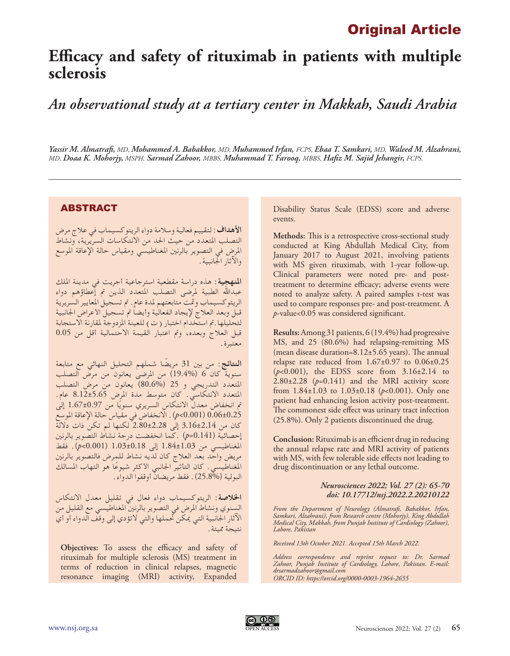## Original Article

## **Efficacy and safety of rituximab in patients with multiple sclerosis**

*An observational study at a tertiary center in Makkah, Saudi Arabia*

*Yassir M. Almatrafi, MD, Mohammed A. Babakkor, MD, Muhammed Irfan, FCPS, Ebaa T. Samkari, MD, Waleed M. Alzahrani, MD, Doaa K. Mohorjy, MSPH, Sarmad Zahoor, MBBS, Muhammad T. Farooq, MBBS, Hafiz M. Sajid Jehangir, FCPS.*

## ABSTRACT

**األهداف:** لتقييم فعالية وسالمة دواء الريتوكسيماب في عالج مرض التصلب املتعدد من حيث احلد من االنتكاسات السريرية، ونشاط املرض في التصوير بالرنني املغناطيسي ومقياس حالة اإلعاقة املوسع واآلثار اجلانبية.

**املنهجية:** هذه دراسة مقطعية استرجاعية أجريت في مدينة امللك عبدالله الطبية لمرضى التصلب المتعدد الذين تم إعطاؤهم دواء الريتوكسيماب ومتت متابعتهم ملدة عام. مت تسجيل املعايير السريرية قبل وبعد العلاج لإيجاد الفعالية وأيضا تم تسجيل الأعراض الجانبية لتحليلها.تم استخدام اختبار ( ت ) للعينة المزدوجة لمقارنة الاستجابة قبل العالج وبعده، ومت اعتبار القيمة االحتمالية أقل من 0.05 معتبرة.

**النتائج:** من بني 31 ً مريضا شملهم التحليل النهائي مع متابعة سنوية كان 6 )19.4%( من املرضى يعانون من مرض التصلب املتعدد التدريجي و 25 )80.6%( يعانون من مرض التصلب املتعدد االنتكاسي. كان متوسط مدة املرض 8.12±5.65 عام. تم انخفاض معدل الانتكاس السريري سنويًا من 1.67±1.67 إلى<br>م 0.06±0.25 )0.001>*p*). االنخفاض في مقياس حالة اإلعاقة املوسع كان من 3.16±2.14 إلى 2.80±2.28 لكنها لم تكن ذات داللة إحصائية )0.141=*p* ).كما انخفضت درجة نشاط التصوير بالرنني املغناطيسي من 1.84±1.03 إلى 1.03±0.18 )0.001>*p*). فقط مريض واحد بعد العالج كان لديه نشاط للمرض فالتصوير بالرنني المغناطيسي. كان التأثير الجانبي الأكثر شيوعًا هو التهاب المسالك<br>. البولية )25.8%(. فقط مريضان أوقفوا الدواء.

**اخلالصة:** الريتوكسيماب دواء فعال في تقليل معدل االنتكاس السنوي ونشاط المرض في التصوير بالرنين المغناطيسي مع القليل من اآلثار اجلانبية التي ميكن حتملها والتي التؤدي إلى وقف الدواء أو أي نتيجة مميتة.

**Objectives:** To assess the efficacy and safety of rituximab for multiple sclerosis (MS) treatment in terms of reduction in clinical relapses, magnetic resonance imaging (MRI) activity, Expanded

Disability Status Scale (EDSS) score and adverse events.

**Methods:** This is a retrospective cross-sectional study conducted at King Abdullah Medical City, from January 2017 to August 2021, involving patients with MS given rituximab, with 1-year follow-up. Clinical parameters were noted pre- and posttreatment to determine efficacy; adverse events were noted to analyze safety. A paired samples t-test was used to compare responses pre- and post-treatment. A *p*-value<0.05 was considered significant.

**Results:** Among 31 patients, 6 (19.4%) had progressive MS, and 25 (80.6%) had relapsing-remitting MS (mean disease duration=8.12±5.65 years). The annual relapse rate reduced from 1.67±0.97 to 0.06±0.25 (*p*<0.001), the EDSS score from 3.16±2.14 to  $2.80\pm2.28$  ( $p=0.141$ ) and the MRI activity score from 1.84±1.03 to 1.03±0.18 (*p*<0.001). Only one patient had enhancing lesion activity post-treatment. The commonest side effect was urinary tract infection (25.8%). Only 2 patients discontinued the drug.

**Conclusion:** Rituximab is an efficient drug in reducing the annual relapse rate and MRI activity of patients with MS, with few tolerable side effects not leading to drug discontinuation or any lethal outcome.

> *Neurosciences 2022; Vol. 27 (2): 65-70 doi: 10.17712/nsj.2022.2.20210122*

*From the Department of Neurology (Almatrafi, Babakkor, Irfan, Samkari, Alzahrani), from Research centre (Mohorjy), King Abdullah Medical City, Makkah, from Punjab Institute of Cardiology (Zahoor), Lahore, Pakistan*

*Received 13th October 2021. Accepted 15th March 2022.*

*Address correspondence and reprint request to: Dr. Sarmad Zahoor, Punjab Institute of Cardiology, Lahore, Pakistan. E-mail: drsarmadzahoor@gmail.com ORCID ID: https://orcid.org/0000-0003-1964-2655*

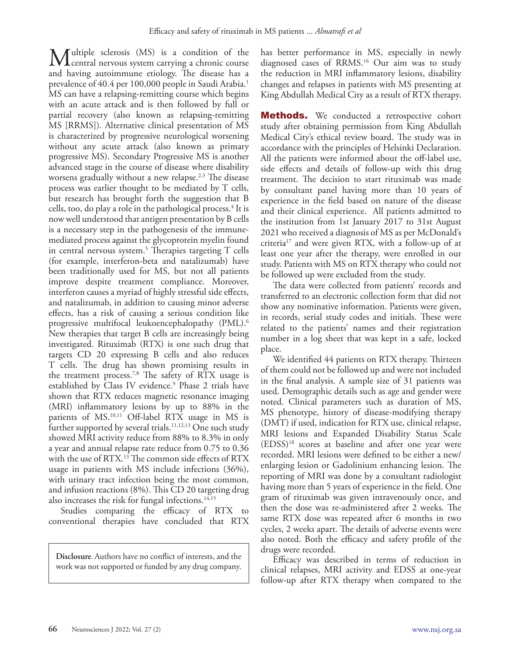Multiple sclerosis (MS) is a condition of the central nervous system carrying a chronic course and having autoimmune etiology. The disease has a prevalence of 40.4 per 100,000 people in Saudi Arabia.<sup>1</sup> MS can have a relapsing-remitting course which begins with an acute attack and is then followed by full or partial recovery (also known as relapsing-remitting MS [RRMS]). Alternative clinical presentation of MS is characterized by progressive neurological worsening without any acute attack (also known as primary progressive MS). Secondary Progressive MS is another advanced stage in the course of disease where disability worsens gradually without a new relapse.<sup>2,3</sup> The disease process was earlier thought to be mediated by T cells, but research has brought forth the suggestion that B cells, too, do play a role in the pathological process.4 It is now well understood that antigen presentation by B cells is a necessary step in the pathogenesis of the immunemediated process against the glycoprotein myelin found in central nervous system. $\frac{5}{5}$  Therapies targeting T cells (for example, interferon-beta and natalizumab) have been traditionally used for MS, but not all patients improve despite treatment compliance. Moreover, interferon causes a myriad of highly stressful side effects, and natalizumab, in addition to causing minor adverse effects, has a risk of causing a serious condition like progressive multifocal leukoencephalopathy (PML). 6 New therapies that target B cells are increasingly being investigated. Rituximab (RTX) is one such drug that targets CD 20 expressing B cells and also reduces T cells. The drug has shown promising results in the treatment process.<sup>7,8</sup> The safety of RTX usage is established by Class IV evidence.9 Phase 2 trials have shown that RTX reduces magnetic resonance imaging (MRI) inflammatory lesions by up to 88% in the patients of MS.10,11 Off-label RTX usage in MS is further supported by several trials.<sup>11,12,13</sup> One such study showed MRI activity reduce from 88% to 8.3% in only a year and annual relapse rate reduce from 0.75 to 0.36 with the use of RTX.<sup>13</sup> The common side effects of RTX usage in patients with MS include infections (36%), with urinary tract infection being the most common, and infusion reactions (8%). This CD 20 targeting drug also increases the risk for fungal infections.<sup>14,15</sup>

Studies comparing the efficacy of RTX to conventional therapies have concluded that RTX

**Disclosure**. Authors have no conflict of interests, and the work was not supported or funded by any drug company.

has better performance in MS, especially in newly diagnosed cases of RRMS.16 Our aim was to study the reduction in MRI inflammatory lesions, disability changes and relapses in patients with MS presenting at King Abdullah Medical City as a result of RTX therapy.

**Methods.** We conducted a retrospective cohort study after obtaining permission from King Abdullah Medical City's ethical review board. The study was in accordance with the principles of Helsinki Declaration. All the patients were informed about the off-label use, side effects and details of follow-up with this drug treatment. The decision to start rituximab was made by consultant panel having more than 10 years of experience in the field based on nature of the disease and their clinical experience. All patients admitted to the institution from 1st January 2017 to 31st August 2021 who received a diagnosis of MS as per McDonald's criteria17 and were given RTX, with a follow-up of at least one year after the therapy, were enrolled in our study. Patients with MS on RTX therapy who could not be followed up were excluded from the study.

The data were collected from patients' records and transferred to an electronic collection form that did not show any nominative information. Patients were given, in records, serial study codes and initials. These were related to the patients' names and their registration number in a log sheet that was kept in a safe, locked place.

We identified 44 patients on RTX therapy. Thirteen of them could not be followed up and were not included in the final analysis. A sample size of 31 patients was used. Demographic details such as age and gender were noted. Clinical parameters such as duration of MS, MS phenotype, history of disease-modifying therapy (DMT) if used, indication for RTX use, clinical relapse, MRI lesions and Expanded Disability Status Scale (EDSS) 18 scores at baseline and after one year were recorded. MRI lesions were defined to be either a new/ enlarging lesion or Gadolinium enhancing lesion. The reporting of MRI was done by a consultant radiologist having more than 5 years of experience in the field. One gram of rituximab was given intravenously once, and then the dose was re-administered after 2 weeks. The same RTX dose was repeated after 6 months in two cycles, 2 weeks apart. The details of adverse events were also noted. Both the efficacy and safety profile of the drugs were recorded.

Efficacy was described in terms of reduction in clinical relapses, MRI activity and EDSS at one-year follow-up after RTX therapy when compared to the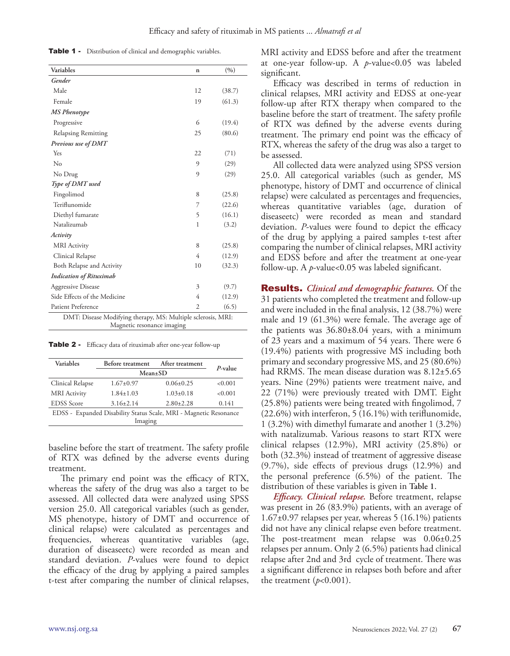Table 1 - Distribution of clinical and demographic variables.

| <b>Variables</b>                                             | n              | (9/0)  |  |
|--------------------------------------------------------------|----------------|--------|--|
| Gender                                                       |                |        |  |
| Male                                                         | 12             | (38.7) |  |
| Female                                                       | 19             | (61.3) |  |
| <b>MS</b> Phenotype                                          |                |        |  |
| Progressive                                                  | 6              | (19.4) |  |
| Relapsing Remitting                                          | 25             | (80.6) |  |
| Previous use of DMT                                          |                |        |  |
| Yes                                                          | 22             | (71)   |  |
| $\rm No$                                                     | 9              | (29)   |  |
| No Drug                                                      | 9              | (29)   |  |
| Type of DMT used                                             |                |        |  |
| Fingolimod                                                   | 8              | (25.8) |  |
| Teriflunomide                                                | 7              | (22.6) |  |
| Diethyl fumarate                                             | 5              | (16.1) |  |
| Natalizumab                                                  | 1              | (3.2)  |  |
| Activity                                                     |                |        |  |
| <b>MRI</b> Activity                                          | 8              | (25.8) |  |
| Clinical Relapse                                             | 4              | (12.9) |  |
| Both Relapse and Activity                                    | 10             | (32.3) |  |
| <b>Indication of Rituximab</b>                               |                |        |  |
| <b>Aggressive Disease</b>                                    | 3              | (9.7)  |  |
| Side Effects of the Medicine                                 | 4              | (12.9) |  |
| Patient Preference                                           | $\overline{2}$ | (6.5)  |  |
| DMT: Disease Modifying therapy, MS: Multiple sclerosis, MRI: |                |        |  |

Magnetic resonance imaging

Table 2 - Efficacy data of rituximab after one-year follow-up

| Variables                                                         | Before treatment | After treatment | $P$ -value |  |
|-------------------------------------------------------------------|------------------|-----------------|------------|--|
|                                                                   | Mean±SD          |                 |            |  |
| Clinical Relapse                                                  | $1.67 \pm 0.97$  | $0.06 \pm 0.25$ | < 0.001    |  |
| <b>MRI</b> Activity                                               | $1.84 + 1.03$    | $1.03 \pm 0.18$ | < 0.001    |  |
| <b>EDSS</b> Score                                                 | $3.16 + 2.14$    | $2.80 \pm 2.28$ | 0.141      |  |
| EDSS - Expanded Disability Status Scale, MRI - Magnetic Resonance |                  |                 |            |  |
| Imaging                                                           |                  |                 |            |  |

baseline before the start of treatment. The safety profile of RTX was defined by the adverse events during treatment.

The primary end point was the efficacy of RTX, whereas the safety of the drug was also a target to be assessed. All collected data were analyzed using SPSS version 25.0. All categorical variables (such as gender, MS phenotype, history of DMT and occurrence of clinical relapse) were calculated as percentages and frequencies, whereas quantitative variables (age, duration of diseaseetc) were recorded as mean and standard deviation. *P*-values were found to depict the efficacy of the drug by applying a paired samples t-test after comparing the number of clinical relapses,

MRI activity and EDSS before and after the treatment at one-year follow-up. A *p*-value<0.05 was labeled significant.

Efficacy was described in terms of reduction in clinical relapses, MRI activity and EDSS at one-year follow-up after RTX therapy when compared to the baseline before the start of treatment. The safety profile of RTX was defined by the adverse events during treatment. The primary end point was the efficacy of RTX, whereas the safety of the drug was also a target to be assessed.

All collected data were analyzed using SPSS version 25.0. All categorical variables (such as gender, MS phenotype, history of DMT and occurrence of clinical relapse) were calculated as percentages and frequencies, whereas quantitative variables (age, duration of diseaseetc) were recorded as mean and standard deviation. *P*-values were found to depict the efficacy of the drug by applying a paired samples t-test after comparing the number of clinical relapses, MRI activity and EDSS before and after the treatment at one-year follow-up. A *p*-value<0.05 was labeled significant.

Results. *Clinical and demographic features.* Of the 31 patients who completed the treatment and follow-up and were included in the final analysis, 12 (38.7%) were male and 19 (61.3%) were female. The average age of the patients was 36.80±8.04 years, with a minimum of 23 years and a maximum of 54 years. There were 6 (19.4%) patients with progressive MS including both primary and secondary progressive MS, and 25 (80.6%) had RRMS. The mean disease duration was 8.12±5.65 years. Nine (29%) patients were treatment naive, and 22 (71%) were previously treated with DMT. Eight (25.8%) patients were being treated with fingolimod, 7 (22.6%) with interferon, 5 (16.1%) with teriflunomide, 1 (3.2%) with dimethyl fumarate and another 1 (3.2%) with natalizumab. Various reasons to start RTX were clinical relapses (12.9%), MRI activity (25.8%) or both (32.3%) instead of treatment of aggressive disease (9.7%), side effects of previous drugs (12.9%) and the personal preference (6.5%) of the patient. The distribution of these variables is given in **Table 1**.

*Efficacy. Clinical relapse.* Before treatment, relapse was present in 26 (83.9%) patients, with an average of 1.67±0.97 relapses per year, whereas 5 (16.1%) patients did not have any clinical relapse even before treatment. The post-treatment mean relapse was 0.06±0.25 relapses per annum. Only 2 (6.5%) patients had clinical relapse after 2nd and 3rd cycle of treatment. There was a significant difference in relapses both before and after the treatment  $(p<0.001)$ .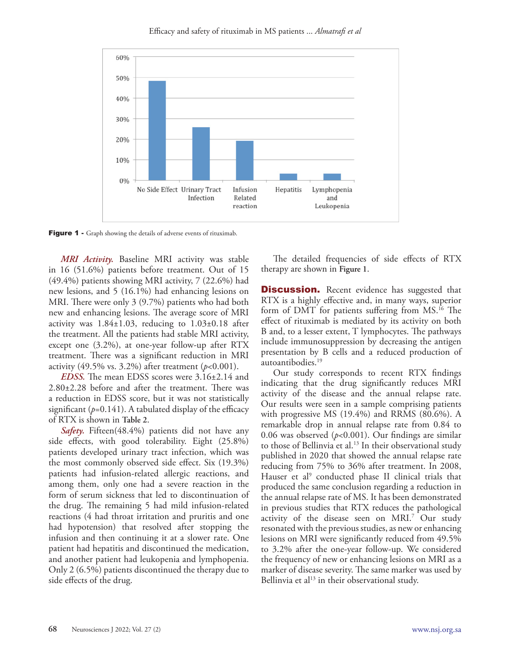Efficacy and safety of rituximab in MS patients ... *Almatrafi et al*



Figure 1 - Graph showing the details of adverse events of rituximab.

*MRI Activity.* Baseline MRI activity was stable in 16 (51.6%) patients before treatment. Out of 15 (49.4%) patients showing MRI activity, 7 (22.6%) had new lesions, and 5 (16.1%) had enhancing lesions on MRI. There were only 3 (9.7%) patients who had both new and enhancing lesions. The average score of MRI activity was  $1.84\pm1.03$ , reducing to  $1.03\pm0.18$  after the treatment. All the patients had stable MRI activity, except one (3.2%), at one-year follow-up after RTX treatment. There was a significant reduction in MRI activity (49.5% vs. 3.2%) after treatment  $(p<0.001)$ .

*EDSS.* The mean EDSS scores were 3.16±2.14 and 2.80±2.28 before and after the treatment. There was a reduction in EDSS score, but it was not statistically significant  $(p=0.141)$ . A tabulated display of the efficacy of RTX is shown in **Table 2**.

*Safety.* Fifteen(48.4%) patients did not have any side effects, with good tolerability. Eight (25.8%) patients developed urinary tract infection, which was the most commonly observed side effect. Six (19.3%) patients had infusion-related allergic reactions, and among them, only one had a severe reaction in the form of serum sickness that led to discontinuation of the drug. The remaining 5 had mild infusion-related reactions (4 had throat irritation and pruritis and one had hypotension) that resolved after stopping the infusion and then continuing it at a slower rate. One patient had hepatitis and discontinued the medication, and another patient had leukopenia and lymphopenia. Only 2 (6.5%) patients discontinued the therapy due to side effects of the drug.

The detailed frequencies of side effects of RTX therapy are shown in **Figure 1**.

**Discussion.** Recent evidence has suggested that RTX is a highly effective and, in many ways, superior form of DMT for patients suffering from MS.16 The effect of rituximab is mediated by its activity on both B and, to a lesser extent, T lymphocytes. The pathways include immunosuppression by decreasing the antigen presentation by B cells and a reduced production of autoantibodies.<sup>19</sup>

Our study corresponds to recent RTX findings indicating that the drug significantly reduces MRI activity of the disease and the annual relapse rate. Our results were seen in a sample comprising patients with progressive MS (19.4%) and RRMS (80.6%). A remarkable drop in annual relapse rate from 0.84 to 0.06 was observed (*p*<0.001). Our findings are similar to those of Bellinvia et al.<sup>13</sup> In their observational study published in 2020 that showed the annual relapse rate reducing from 75% to 36% after treatment. In 2008, Hauser et al<sup>9</sup> conducted phase II clinical trials that produced the same conclusion regarding a reduction in the annual relapse rate of MS. It has been demonstrated in previous studies that RTX reduces the pathological activity of the disease seen on MRI.<sup>7</sup> Our study resonated with the previous studies, as new or enhancing lesions on MRI were significantly reduced from 49.5% to 3.2% after the one-year follow-up. We considered the frequency of new or enhancing lesions on MRI as a marker of disease severity. The same marker was used by Bellinvia et al<sup>13</sup> in their observational study.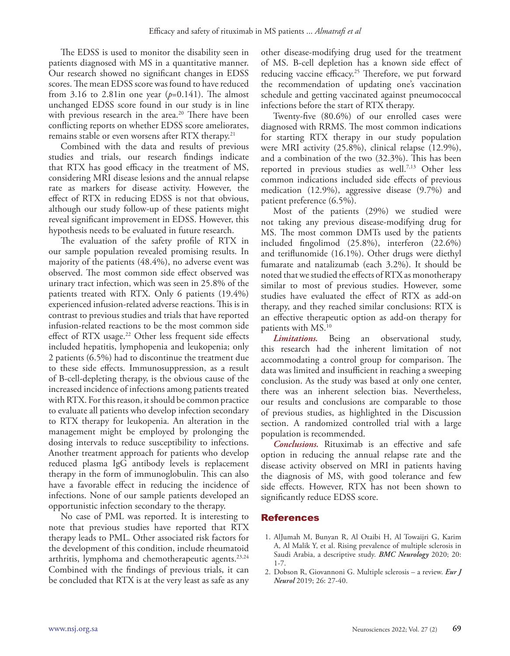The EDSS is used to monitor the disability seen in patients diagnosed with MS in a quantitative manner. Our research showed no significant changes in EDSS scores. The mean EDSS score was found to have reduced from 3.16 to 2.81in one year  $(p=0.141)$ . The almost unchanged EDSS score found in our study is in line with previous research in the area.<sup>20</sup> There have been conflicting reports on whether EDSS score ameliorates, remains stable or even worsens after RTX therapy.<sup>21</sup>

Combined with the data and results of previous studies and trials, our research findings indicate that RTX has good efficacy in the treatment of MS, considering MRI disease lesions and the annual relapse rate as markers for disease activity. However, the effect of RTX in reducing EDSS is not that obvious, although our study follow-up of these patients might reveal significant improvement in EDSS. However, this hypothesis needs to be evaluated in future research.

The evaluation of the safety profile of RTX in our sample population revealed promising results. In majority of the patients (48.4%), no adverse event was observed. The most common side effect observed was urinary tract infection, which was seen in 25.8% of the patients treated with RTX. Only 6 patients (19.4%) experienced infusion-related adverse reactions. This is in contrast to previous studies and trials that have reported infusion-related reactions to be the most common side effect of RTX usage.<sup>22</sup> Other less frequent side effects included hepatitis, lymphopenia and leukopenia; only 2 patients (6.5%) had to discontinue the treatment due to these side effects. Immunosuppression, as a result of B-cell-depleting therapy, is the obvious cause of the increased incidence of infections among patients treated with RTX. For this reason, it should be common practice to evaluate all patients who develop infection secondary to RTX therapy for leukopenia. An alteration in the management might be employed by prolonging the dosing intervals to reduce susceptibility to infections. Another treatment approach for patients who develop reduced plasma IgG antibody levels is replacement therapy in the form of immunoglobulin. This can also have a favorable effect in reducing the incidence of infections. None of our sample patients developed an opportunistic infection secondary to the therapy.

No case of PML was reported. It is interesting to note that previous studies have reported that RTX therapy leads to PML. Other associated risk factors for the development of this condition, include rheumatoid arthritis, lymphoma and chemotherapeutic agents. $23.24$ Combined with the findings of previous trials, it can be concluded that RTX is at the very least as safe as any other disease-modifying drug used for the treatment of MS. B-cell depletion has a known side effect of reducing vaccine efficacy.<sup>25</sup> Therefore, we put forward the recommendation of updating one's vaccination schedule and getting vaccinated against pneumococcal infections before the start of RTX therapy.

Twenty-five (80.6%) of our enrolled cases were diagnosed with RRMS. The most common indications for starting RTX therapy in our study population were MRI activity (25.8%), clinical relapse (12.9%), and a combination of the two (32.3%). This has been reported in previous studies as well.7,13 Other less common indications included side effects of previous medication (12.9%), aggressive disease (9.7%) and patient preference (6.5%).

Most of the patients (29%) we studied were not taking any previous disease-modifying drug for MS. The most common DMTs used by the patients included fingolimod (25.8%), interferon (22.6%) and teriflunomide (16.1%). Other drugs were diethyl fumarate and natalizumab (each 3.2%). It should be noted that we studied the effects of RTX as monotherapy similar to most of previous studies. However, some studies have evaluated the effect of RTX as add-on therapy, and they reached similar conclusions: RTX is an effective therapeutic option as add-on therapy for patients with MS.10

*Limitations.* Being an observational study, this research had the inherent limitation of not accommodating a control group for comparison. The data was limited and insufficient in reaching a sweeping conclusion. As the study was based at only one center, there was an inherent selection bias. Nevertheless, our results and conclusions are comparable to those of previous studies, as highlighted in the Discussion section. A randomized controlled trial with a large population is recommended.

*Conclusions.* Rituximab is an effective and safe option in reducing the annual relapse rate and the disease activity observed on MRI in patients having the diagnosis of MS, with good tolerance and few side effects. However, RTX has not been shown to significantly reduce EDSS score.

## References

- 1. AlJumah M, Bunyan R, Al Otaibi H, Al Towaijri G, Karim A, Al Malik Y, et al. Rising prevalence of multiple sclerosis in Saudi Arabia, a descriptive study. *BMC Neurology* 2020; 20: 1-7.
- 2. Dobson R, Giovannoni G. Multiple sclerosis a review. *Eur J Neurol* 2019; 26: 27-40.